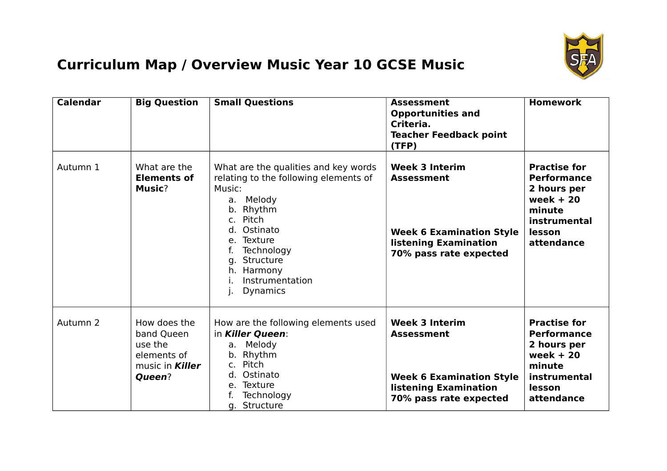

## **Curriculum Map / Overview Music Year 10 GCSE Music**

| <b>Calendar</b> | <b>Big Question</b>                                                                      | <b>Small Questions</b>                                                                                                                                                                                                                           | <b>Assessment</b><br><b>Opportunities and</b><br>Criteria.<br><b>Teacher Feedback point</b><br>(TFP)                                    | <b>Homework</b>                                                                                                          |
|-----------------|------------------------------------------------------------------------------------------|--------------------------------------------------------------------------------------------------------------------------------------------------------------------------------------------------------------------------------------------------|-----------------------------------------------------------------------------------------------------------------------------------------|--------------------------------------------------------------------------------------------------------------------------|
| Autumn 1        | What are the<br><b>Elements of</b><br><b>Music?</b>                                      | What are the qualities and key words<br>relating to the following elements of<br>Music:<br>a. Melody<br>b. Rhythm<br>Pitch<br>$C_{1}$<br>d. Ostinato<br>e. Texture<br>Technology<br>Structure<br>q.<br>h. Harmony<br>Instrumentation<br>Dynamics | <b>Week 3 Interim</b><br><b>Assessment</b><br><b>Week 6 Examination Style</b><br><b>listening Examination</b><br>70% pass rate expected | <b>Practise for</b><br><b>Performance</b><br>2 hours per<br>week $+20$<br>minute<br>instrumental<br>lesson<br>attendance |
| Autumn 2        | How does the<br>band Queen<br>use the<br>elements of<br>music in <b>Killer</b><br>Queen? | How are the following elements used<br>in Killer Queen:<br>a. Melody<br>b. Rhythm<br>Pitch<br>C <sub>1</sub><br>d. Ostinato<br>e. Texture<br>Technology<br>f.<br>g. Structure                                                                    | <b>Week 3 Interim</b><br><b>Assessment</b><br><b>Week 6 Examination Style</b><br><b>listening Examination</b><br>70% pass rate expected | <b>Practise for</b><br><b>Performance</b><br>2 hours per<br>week $+20$<br>minute<br>instrumental<br>lesson<br>attendance |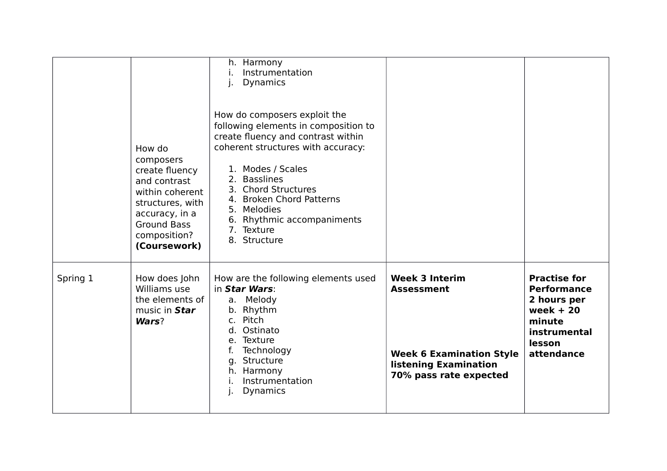|          | How do<br>composers<br>create fluency<br>and contrast<br>within coherent<br>structures, with<br>accuracy, in a<br><b>Ground Bass</b><br>composition?<br>(Coursework) | h. Harmony<br>Instrumentation<br>j.<br><b>Dynamics</b><br>How do composers exploit the<br>following elements in composition to<br>create fluency and contrast within<br>coherent structures with accuracy:<br>1. Modes / Scales<br>2. Basslines<br>3. Chord Structures<br>4. Broken Chord Patterns<br>5. Melodies<br>6. Rhythmic accompaniments<br>7. Texture<br>8. Structure |                                                                                                                                  |                                                                                                                          |
|----------|----------------------------------------------------------------------------------------------------------------------------------------------------------------------|-------------------------------------------------------------------------------------------------------------------------------------------------------------------------------------------------------------------------------------------------------------------------------------------------------------------------------------------------------------------------------|----------------------------------------------------------------------------------------------------------------------------------|--------------------------------------------------------------------------------------------------------------------------|
| Spring 1 | How does John<br>Williams use<br>the elements of<br>music in Star<br>Wars?                                                                                           | How are the following elements used<br>in Star Wars:<br>a. Melody<br>b. Rhythm<br>c. Pitch<br>Ostinato<br>d.<br>e. Texture<br>f.<br>Technology<br>g. Structure<br>h. Harmony<br>Instrumentation<br><b>Dynamics</b>                                                                                                                                                            | <b>Week 3 Interim</b><br><b>Assessment</b><br><b>Week 6 Examination Style</b><br>listening Examination<br>70% pass rate expected | <b>Practise for</b><br><b>Performance</b><br>2 hours per<br>week $+20$<br>minute<br>instrumental<br>lesson<br>attendance |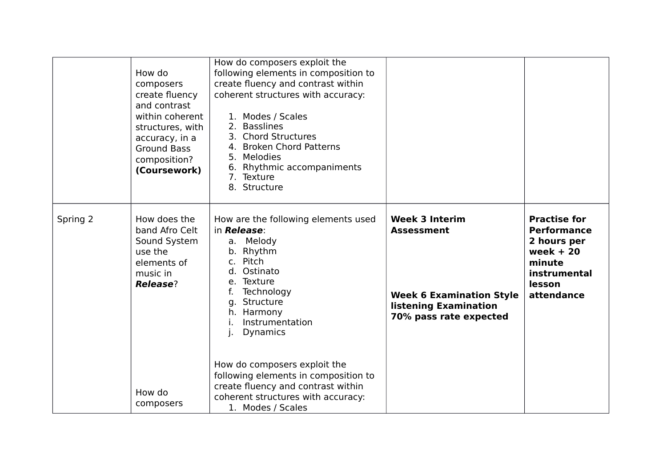|          | How do<br>composers<br>create fluency<br>and contrast<br>within coherent<br>structures, with<br>accuracy, in a<br><b>Ground Bass</b><br>composition?<br>(Coursework) | How do composers exploit the<br>following elements in composition to<br>create fluency and contrast within<br>coherent structures with accuracy:<br>1. Modes / Scales<br>2. Basslines<br>3. Chord Structures<br>4. Broken Chord Patterns<br>5. Melodies<br>6. Rhythmic accompaniments<br>7. Texture<br>8. Structure |                                                                                                                                  |                                                                                                                          |
|----------|----------------------------------------------------------------------------------------------------------------------------------------------------------------------|---------------------------------------------------------------------------------------------------------------------------------------------------------------------------------------------------------------------------------------------------------------------------------------------------------------------|----------------------------------------------------------------------------------------------------------------------------------|--------------------------------------------------------------------------------------------------------------------------|
| Spring 2 | How does the<br>band Afro Celt<br>Sound System<br>use the<br>elements of<br>music in<br><b>Release?</b>                                                              | How are the following elements used<br>in <b>Release</b> :<br>a. Melody<br>b. Rhythm<br>c. Pitch<br>d. Ostinato<br>e. Texture<br>Technology<br>f.<br>g. Structure<br>h. Harmony<br>Instrumentation<br>i.<br>Dynamics<br>j.                                                                                          | <b>Week 3 Interim</b><br><b>Assessment</b><br><b>Week 6 Examination Style</b><br>listening Examination<br>70% pass rate expected | <b>Practise for</b><br><b>Performance</b><br>2 hours per<br>week $+20$<br>minute<br>instrumental<br>lesson<br>attendance |
|          | How do<br>composers                                                                                                                                                  | How do composers exploit the<br>following elements in composition to<br>create fluency and contrast within<br>coherent structures with accuracy:<br>1. Modes / Scales                                                                                                                                               |                                                                                                                                  |                                                                                                                          |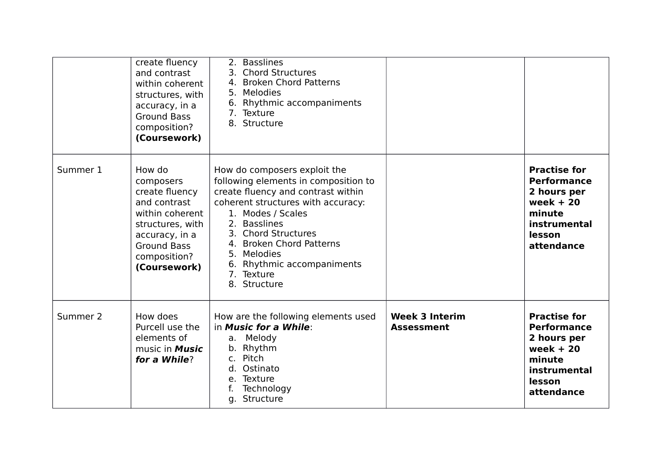|          | create fluency<br>and contrast<br>within coherent<br>structures, with<br>accuracy, in a<br><b>Ground Bass</b><br>composition?<br>(Coursework)                        | 2. Basslines<br>3. Chord Structures<br>4. Broken Chord Patterns<br>5. Melodies<br>6. Rhythmic accompaniments<br>7. Texture<br>8. Structure                                                                                                                                                                          |                                            |                                                                                                                          |
|----------|----------------------------------------------------------------------------------------------------------------------------------------------------------------------|---------------------------------------------------------------------------------------------------------------------------------------------------------------------------------------------------------------------------------------------------------------------------------------------------------------------|--------------------------------------------|--------------------------------------------------------------------------------------------------------------------------|
| Summer 1 | How do<br>composers<br>create fluency<br>and contrast<br>within coherent<br>structures, with<br>accuracy, in a<br><b>Ground Bass</b><br>composition?<br>(Coursework) | How do composers exploit the<br>following elements in composition to<br>create fluency and contrast within<br>coherent structures with accuracy:<br>1. Modes / Scales<br>2. Basslines<br>3. Chord Structures<br>4. Broken Chord Patterns<br>5. Melodies<br>6. Rhythmic accompaniments<br>7. Texture<br>8. Structure |                                            | <b>Practise for</b><br><b>Performance</b><br>2 hours per<br>week $+20$<br>minute<br>instrumental<br>lesson<br>attendance |
| Summer 2 | How does<br>Purcell use the<br>elements of<br>music in <b>Music</b><br>for a While?                                                                                  | How are the following elements used<br>in Music for a While:<br>a. Melody<br>b. Rhythm<br>c. Pitch<br>d. Ostinato<br>e. Texture<br>Technology<br>g. Structure                                                                                                                                                       | <b>Week 3 Interim</b><br><b>Assessment</b> | <b>Practise for</b><br><b>Performance</b><br>2 hours per<br>week $+20$<br>minute<br>instrumental<br>lesson<br>attendance |